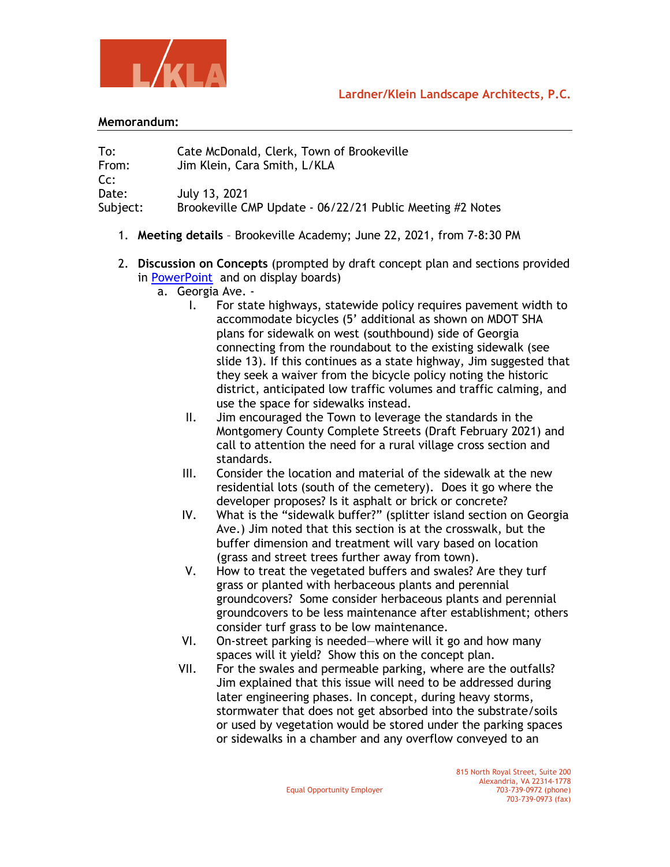



## **Memorandum:**

To: Cate McDonald, Clerk, Town of Brookeville From: Jim Klein, Cara Smith, L/KLA Cc: Date: July 13, 2021 Subject: Brookeville CMP Update - 06/22/21 Public Meeting #2 Notes

- 1. **Meeting details** Brookeville Academy; June 22, 2021, from 7-8:30 PM
- 2. **Discussion on Concepts** (prompted by draft concept plan and sections provided in [PowerPoint](https://067bd20b-2355-4d57-9a55-e2db49b14268.filesusr.com/ugd/a5834a_3541f431b27343d2b35a4541600085a5.pdf) and on display boards)
	- a. Georgia Ave.
		- I. For state highways, statewide policy requires pavement width to accommodate bicycles (5' additional as shown on MDOT SHA plans for sidewalk on west (southbound) side of Georgia connecting from the roundabout to the existing sidewalk (see slide 13). If this continues as a state highway, Jim suggested that they seek a waiver from the bicycle policy noting the historic district, anticipated low traffic volumes and traffic calming, and use the space for sidewalks instead.
		- II. Jim encouraged the Town to leverage the standards in the Montgomery County Complete Streets (Draft February 2021) and call to attention the need for a rural village cross section and standards.
		- III. Consider the location and material of the sidewalk at the new residential lots (south of the cemetery). Does it go where the developer proposes? Is it asphalt or brick or concrete?
		- IV. What is the "sidewalk buffer?" (splitter island section on Georgia Ave.) Jim noted that this section is at the crosswalk, but the buffer dimension and treatment will vary based on location (grass and street trees further away from town).
		- V. How to treat the vegetated buffers and swales? Are they turf grass or planted with herbaceous plants and perennial groundcovers? Some consider herbaceous plants and perennial groundcovers to be less maintenance after establishment; others consider turf grass to be low maintenance.
		- VI. On-street parking is needed—where will it go and how many spaces will it yield? Show this on the concept plan.
		- VII. For the swales and permeable parking, where are the outfalls? Jim explained that this issue will need to be addressed during later engineering phases. In concept, during heavy storms, stormwater that does not get absorbed into the substrate/soils or used by vegetation would be stored under the parking spaces or sidewalks in a chamber and any overflow conveyed to an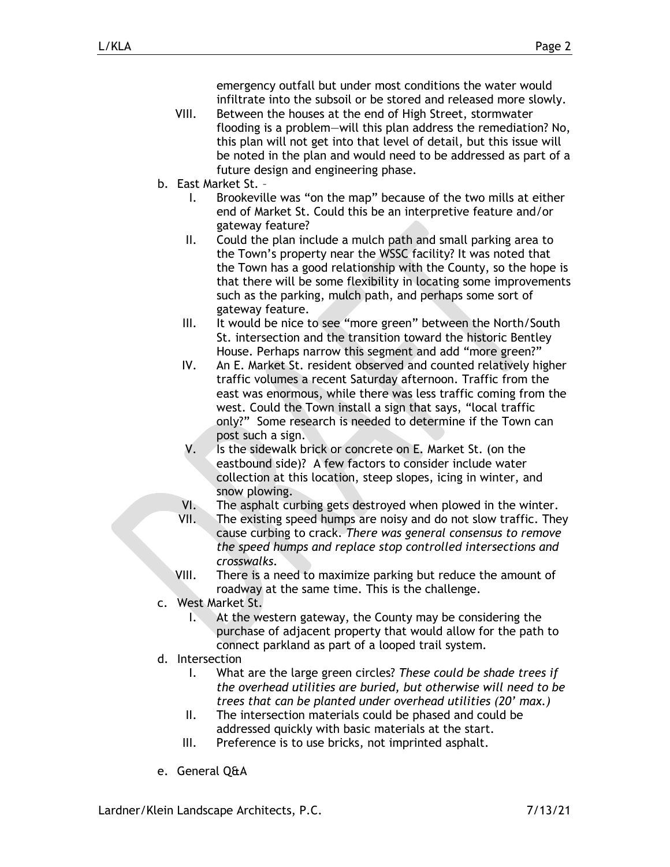emergency outfall but under most conditions the water would infiltrate into the subsoil or be stored and released more slowly.

- VIII. Between the houses at the end of High Street, stormwater flooding is a problem—will this plan address the remediation? No, this plan will not get into that level of detail, but this issue will be noted in the plan and would need to be addressed as part of a future design and engineering phase.
- b. East Market St.
	- I. Brookeville was "on the map" because of the two mills at either end of Market St. Could this be an interpretive feature and/or gateway feature?
	- II. Could the plan include a mulch path and small parking area to the Town's property near the WSSC facility? It was noted that the Town has a good relationship with the County, so the hope is that there will be some flexibility in locating some improvements such as the parking, mulch path, and perhaps some sort of gateway feature.
	- III. It would be nice to see "more green" between the North/South St. intersection and the transition toward the historic Bentley House. Perhaps narrow this segment and add "more green?"
	- IV. An E. Market St. resident observed and counted relatively higher traffic volumes a recent Saturday afternoon. Traffic from the east was enormous, while there was less traffic coming from the west. Could the Town install a sign that says, "local traffic only?" Some research is needed to determine if the Town can post such a sign.
	- V. Is the sidewalk brick or concrete on E. Market St. (on the eastbound side)? A few factors to consider include water collection at this location, steep slopes, icing in winter, and snow plowing.
	- VI. The asphalt curbing gets destroyed when plowed in the winter.
	- VII. The existing speed humps are noisy and do not slow traffic. They cause curbing to crack. *There was general consensus to remove the speed humps and replace stop controlled intersections and crosswalks.*
	- VIII. There is a need to maximize parking but reduce the amount of roadway at the same time. This is the challenge.
- c. West Market St.
	- I. At the western gateway, the County may be considering the purchase of adjacent property that would allow for the path to connect parkland as part of a looped trail system.
- d. Intersection
	- I. What are the large green circles? *These could be shade trees if the overhead utilities are buried, but otherwise will need to be trees that can be planted under overhead utilities (20' max.)*
	- II. The intersection materials could be phased and could be addressed quickly with basic materials at the start.
	- III. Preference is to use bricks, not imprinted asphalt.
- e. General Q&A